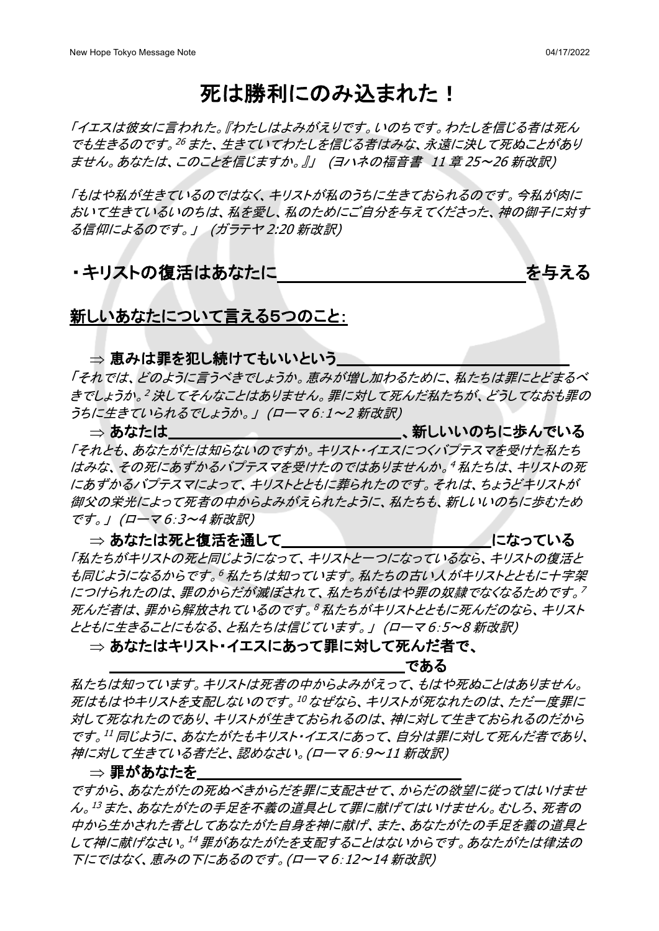# 死は勝利にのみ込まれた!

「イエスは彼女に言われた。『わたしはよみがえりです。いのちです。わたしを信じる者は死ん でも生きるのです。<sup>26</sup> また、生きていてわたしを信じる者はみな、永遠に決して死ぬことがあり ません。あなたは、このことを信じますか。』」 (ヨハネの福音書 11 章 25~26 新改訳)

「もはや私が生きているのではなく、キリストが私のうちに生きておられるのです。今私が肉に おいて生きているいのちは、私を愛し、私のためにご自分を与えてくださった、神の御子に対す る信仰によるのです。」 (ガラテヤ 2:20 新改訳)

# ・キリストの復活はあなたに そんちょう しょうせい あいしゃ を与える

# 新しいあなたについて言える5つのこと:

⇒ 恵みは罪を犯し続けてもいいという

「それでは、どのように言うべきでしょうか。恵みが増し加わるために、私たちは罪にとどまるべ きでしょうか。<sup>2</sup> 決してそんなことはありません。罪に対して死んだ私たちが、どうしてなおも罪の うちに生きていられるでしょうか。」 (ローマ 6:1~2 新改訳)

<u> ⇒ あなたは\_\_\_\_\_\_\_\_\_\_\_\_\_\_</u>、新しいいのちに歩んでいる 「それとも、あなたがたは知らないのですか。キリスト・イエスにつくバプテスマを受けた私たち はみな、その死にあずかるバプテスマを受けたのではありませんか。<sup>4</sup> 私たちは、キリストの死 にあずかるバプテスマによって、キリストとともに葬られたのです。それは、ちょうどキリストが 御父の栄光によって死者の中からよみがえられたように、私たちも、新しいいのちに歩むため です。」 (ローマ 6:3~4 新改訳)

Þ あなたは死と復活を通してになっている

「私たちがキリストの死と同じようになって、キリストと一つになっているなら、キリストの復活と も同じようになるからです。<sup>6</sup> 私たちは知っています。私たちの古い人がキリストとともに十字架 につけられたのは、罪のからだが滅ぼされて、私たちがもはや罪の奴隷でなくなるためです。<sup>7</sup> 死んだ者は、罪から解放されているのです。<sup>8</sup> 私たちがキリストとともに死んだのなら、キリスト とともに生きることにもなる、と私たちは信じています。」 (ローマ 6:5~8 新改訳)

⇒ あなたはキリスト・イエスにあって罪に対して死んだ者で、

である

私たちは知っています。キリストは死者の中からよみがえって、もはや死ぬことはありません。 死はもはやキリストを支配しないのです。<sup>10</sup> なぜなら、キリストが死なれたのは、ただ一度罪に 対して死なれたのであり、キリストが生きておられるのは、神に対して生きておられるのだから です。<sup>11</sup> 同じように、あなたがたもキリスト・イエスにあって、自分は罪に対して死んだ者であり、 神に対して生きている者だと、認めなさい。(ローマ 6:9~11 新改訳)

### **⇒ 罪があなたを**

ですから、あなたがたの死ぬべきからだを罪に支配させて、からだの欲望に従ってはいけませ ん。<sup>13</sup> また、あなたがたの手足を不義の道具として罪に献げてはいけません。むしろ、死者の 中から生かされた者としてあなたがた自身を神に献げ、また、あなたがたの手足を義の道具と して神に献げなさい。<sup>14</sup> 罪があなたがたを支配することはないからです。あなたがたは律法の 下にではなく、恵みの下にあるのです。(ローマ 6:12~14 新改訳)